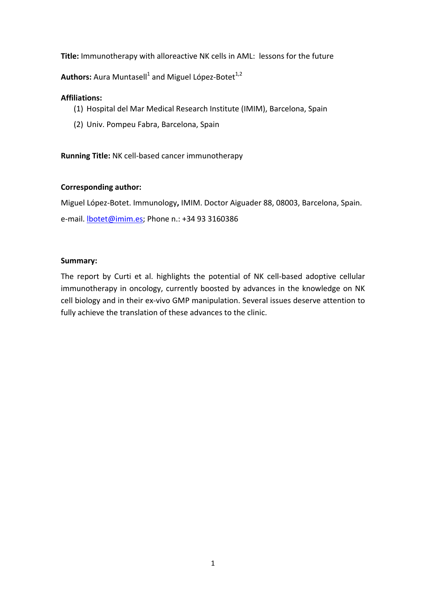**Title:** Immunotherapy with alloreactive NK cells in AML: lessons for the future

Authors: Aura Muntasell<sup>1</sup> and Miguel López-Botet<sup>1,2</sup>

## **Affiliations:**

- (1) Hospital del Mar Medical Research Institute (IMIM), Barcelona, Spain
- (2) Univ. Pompeu Fabra, Barcelona, Spain

**Running Title:** NK cell-based cancer immunotherapy

# **Corresponding author:**

Miguel López-Botet. Immunology**,** IMIM. Doctor Aiguader 88, 08003, Barcelona, Spain.

e-mail. **botet@imim.es**; Phone n.: +34 93 3160386

### **Summary:**

The report by Curti et al. highlights the potential of NK cell-based adoptive cellular immunotherapy in oncology, currently boosted by advances in the knowledge on NK cell biology and in their ex-vivo GMP manipulation. Several issues deserve attention to fully achieve the translation of these advances to the clinic.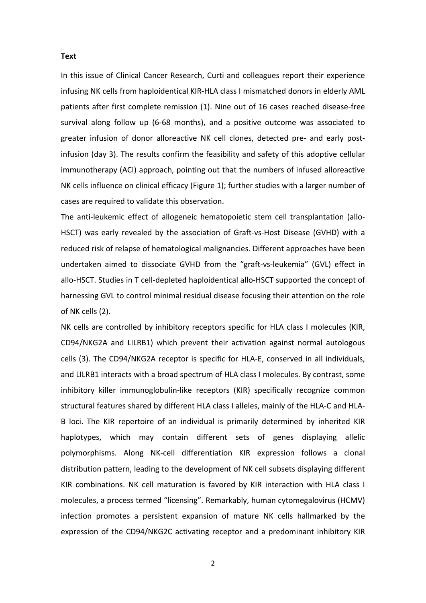#### **Text**

In this issue of Clinical Cancer Research, Curti and colleagues report their experience infusing NK cells from haploidentical KIR-HLA class I mismatched donors in elderly AML patients after first complete remission (1). Nine out of 16 cases reached disease-free survival along follow up (6-68 months), and a positive outcome was associated to greater infusion of donor alloreactive NK cell clones, detected pre- and early postinfusion (day 3). The results confirm the feasibility and safety of this adoptive cellular immunotherapy (ACI) approach, pointing out that the numbers of infused alloreactive NK cells influence on clinical efficacy (Figure 1); further studies with a larger number of cases are required to validate this observation.

The anti-leukemic effect of allogeneic hematopoietic stem cell transplantation (allo-HSCT) was early revealed by the association of Graft-vs-Host Disease (GVHD) with a reduced risk of relapse of hematological malignancies. Different approaches have been undertaken aimed to dissociate GVHD from the "graft-vs-leukemia" (GVL) effect in allo-HSCT. Studies in T cell-depleted haploidentical allo-HSCT supported the concept of harnessing GVL to control minimal residual disease focusing their attention on the role of NK cells (2).

NK cells are controlled by inhibitory receptors specific for HLA class I molecules (KIR, CD94/NKG2A and LILRB1) which prevent their activation against normal autologous cells (3). The CD94/NKG2A receptor is specific for HLA-E, conserved in all individuals, and LILRB1 interacts with a broad spectrum of HLA class I molecules. By contrast, some inhibitory killer immunoglobulin-like receptors (KIR) specifically recognize common structural features shared by different HLA class I alleles, mainly of the HLA-C and HLA-B loci. The KIR repertoire of an individual is primarily determined by inherited KIR haplotypes, which may contain different sets of genes displaying allelic polymorphisms. Along NK-cell differentiation KIR expression follows a clonal distribution pattern, leading to the development of NK cell subsets displaying different KIR combinations. NK cell maturation is favored by KIR interaction with HLA class I molecules, a process termed "licensing". Remarkably, human cytomegalovirus (HCMV) infection promotes a persistent expansion of mature NK cells hallmarked by the expression of the CD94/NKG2C activating receptor and a predominant inhibitory KIR

2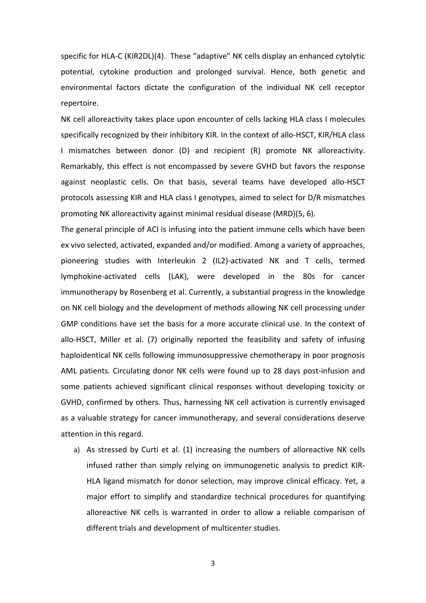specific for HLA-C (KIR2DL)(4). These "adaptive" NK cells display an enhanced cytolytic potential, cytokine production and prolonged survival. Hence, both genetic and environmental factors dictate the configuration of the individual NK cell receptor repertoire.

NK cell alloreactivity takes place upon encounter of cells lacking HLA class I molecules specifically recognized by their inhibitory KIR. In the context of allo-HSCT, KIR/HLA class I mismatches between donor (D) and recipient (R) promote NK alloreactivity. Remarkably, this effect is not encompassed by severe GVHD but favors the response against neoplastic cells. On that basis, several teams have developed allo-HSCT protocols assessing KIR and HLA class I genotypes, aimed to select for D/R mismatches promoting NK alloreactivity against minimal residual disease (MRD)(5, 6).

The general principle of ACI is infusing into the patient immune cells which have been ex vivo selected, activated, expanded and/or modified. Among a variety of approaches, pioneering studies with Interleukin 2 (IL2)-activated NK and T cells, termed lymphokine-activated cells (LAK), were developed in the 80s for cancer immunotherapy by Rosenberg et al. Currently, a substantial progress in the knowledge on NK cell biology and the development of methods allowing NK cell processing under GMP conditions have set the basis for a more accurate clinical use. In the context of allo-HSCT, Miller et al. (7) originally reported the feasibility and safety of infusing haploidentical NK cells following immunosuppressive chemotherapy in poor prognosis AML patients. Circulating donor NK cells were found up to 28 days post-infusion and some patients achieved significant clinical responses without developing toxicity or GVHD, confirmed by others. Thus, harnessing NK cell activation is currently envisaged as a valuable strategy for cancer immunotherapy, and several considerations deserve attention in this regard.

a) As stressed by Curti et al. (1) increasing the numbers of alloreactive NK cells infused rather than simply relying on immunogenetic analysis to predict KIR-HLA ligand mismatch for donor selection, may improve clinical efficacy. Yet, a major effort to simplify and standardize technical procedures for quantifying alloreactive NK cells is warranted in order to allow a reliable comparison of different trials and development of multicenter studies.

3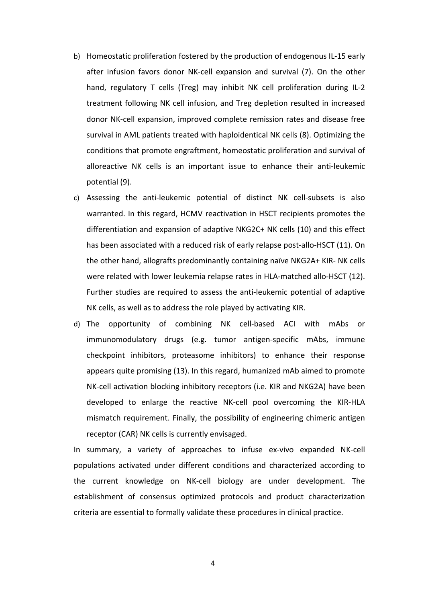- b) Homeostatic proliferation fostered by the production of endogenous IL-15 early after infusion favors donor NK-cell expansion and survival (7). On the other hand, regulatory T cells (Treg) may inhibit NK cell proliferation during IL-2 treatment following NK cell infusion, and Treg depletion resulted in increased donor NK-cell expansion, improved complete remission rates and disease free survival in AML patients treated with haploidentical NK cells (8). Optimizing the conditions that promote engraftment, homeostatic proliferation and survival of alloreactive NK cells is an important issue to enhance their anti-leukemic potential (9).
- c) Assessing the anti-leukemic potential of distinct NK cell-subsets is also warranted. In this regard, HCMV reactivation in HSCT recipients promotes the differentiation and expansion of adaptive NKG2C+ NK cells (10) and this effect has been associated with a reduced risk of early relapse post-allo-HSCT (11). On the other hand, allografts predominantly containing naïve NKG2A+ KIR- NK cells were related with lower leukemia relapse rates in HLA-matched allo-HSCT (12). Further studies are required to assess the anti-leukemic potential of adaptive NK cells, as well as to address the role played by activating KIR.
- d) The opportunity of combining NK cell-based ACI with mAbs or immunomodulatory drugs (e.g. tumor antigen-specific mAbs, immune checkpoint inhibitors, proteasome inhibitors) to enhance their response appears quite promising (13). In this regard, humanized mAb aimed to promote NK-cell activation blocking inhibitory receptors (i.e. KIR and NKG2A) have been developed to enlarge the reactive NK-cell pool overcoming the KIR-HLA mismatch requirement. Finally, the possibility of engineering chimeric antigen receptor (CAR) NK cells is currently envisaged.

In summary, a variety of approaches to infuse ex-vivo expanded NK-cell populations activated under different conditions and characterized according to the current knowledge on NK-cell biology are under development. The establishment of consensus optimized protocols and product characterization criteria are essential to formally validate these procedures in clinical practice.

4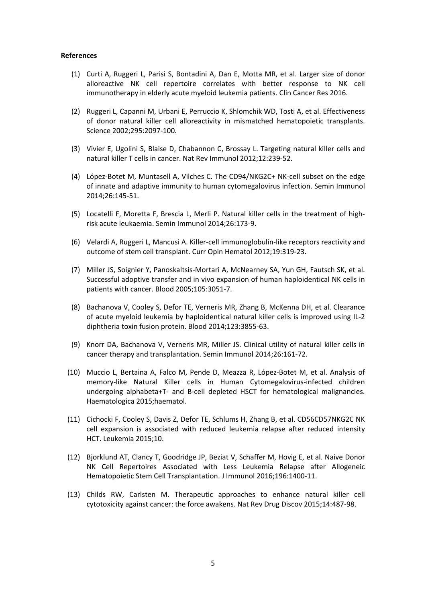#### **References**

- (1) Curti A, Ruggeri L, Parisi S, Bontadini A, Dan E, Motta MR, et al. Larger size of donor alloreactive NK cell repertoire correlates with better response to NK cell immunotherapy in elderly acute myeloid leukemia patients. Clin Cancer Res 2016.
- (2) Ruggeri L, Capanni M, Urbani E, Perruccio K, Shlomchik WD, Tosti A, et al. Effectiveness of donor natural killer cell alloreactivity in mismatched hematopoietic transplants. Science 2002;295:2097-100.
- (3) Vivier E, Ugolini S, Blaise D, Chabannon C, Brossay L. Targeting natural killer cells and natural killer T cells in cancer. Nat Rev Immunol 2012;12:239-52.
- (4) López-Botet M, Muntasell A, Vilches C. The CD94/NKG2C+ NK-cell subset on the edge of innate and adaptive immunity to human cytomegalovirus infection. Semin Immunol 2014;26:145-51.
- (5) Locatelli F, Moretta F, Brescia L, Merli P. Natural killer cells in the treatment of highrisk acute leukaemia. Semin Immunol 2014;26:173-9.
- (6) Velardi A, Ruggeri L, Mancusi A. Killer-cell immunoglobulin-like receptors reactivity and outcome of stem cell transplant. Curr Opin Hematol 2012;19:319-23.
- (7) Miller JS, Soignier Y, Panoskaltsis-Mortari A, McNearney SA, Yun GH, Fautsch SK, et al. Successful adoptive transfer and in vivo expansion of human haploidentical NK cells in patients with cancer. Blood 2005;105:3051-7.
- (8) Bachanova V, Cooley S, Defor TE, Verneris MR, Zhang B, McKenna DH, et al. Clearance of acute myeloid leukemia by haploidentical natural killer cells is improved using IL-2 diphtheria toxin fusion protein. Blood 2014;123:3855-63.
- (9) Knorr DA, Bachanova V, Verneris MR, Miller JS. Clinical utility of natural killer cells in cancer therapy and transplantation. Semin Immunol 2014;26:161-72.
- (10) Muccio L, Bertaina A, Falco M, Pende D, Meazza R, López-Botet M, et al. Analysis of memory-like Natural Killer cells in Human Cytomegalovirus-infected children undergoing alphabeta+T- and B-cell depleted HSCT for hematological malignancies. Haematologica 2015;haematol.
- (11) Cichocki F, Cooley S, Davis Z, Defor TE, Schlums H, Zhang B, et al. CD56CD57NKG2C NK cell expansion is associated with reduced leukemia relapse after reduced intensity HCT. Leukemia 2015;10.
- (12) Bjorklund AT, Clancy T, Goodridge JP, Beziat V, Schaffer M, Hovig E, et al. Naive Donor NK Cell Repertoires Associated with Less Leukemia Relapse after Allogeneic Hematopoietic Stem Cell Transplantation. J Immunol 2016;196:1400-11.
- (13) Childs RW, Carlsten M. Therapeutic approaches to enhance natural killer cell cytotoxicity against cancer: the force awakens. Nat Rev Drug Discov 2015;14:487-98.